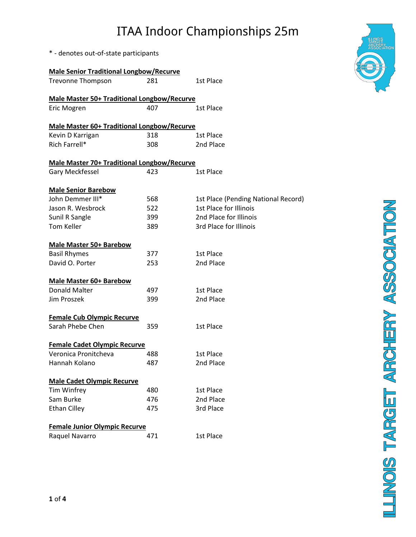\* - denotes out-of-state participants

| <b>Male Senior Traditional Longbow/Recurve</b>     |     |                                     |  |  |
|----------------------------------------------------|-----|-------------------------------------|--|--|
| <b>Trevonne Thompson</b>                           | 281 | 1st Place                           |  |  |
| <b>Male Master 50+ Traditional Longbow/Recurve</b> |     |                                     |  |  |
| Eric Mogren                                        | 407 | 1st Place                           |  |  |
| <b>Male Master 60+ Traditional Longbow/Recurve</b> |     |                                     |  |  |
| Kevin D Karrigan                                   | 318 | 1st Place                           |  |  |
| Rich Farrell*                                      | 308 | 2nd Place                           |  |  |
| Male Master 70+ Traditional Longbow/Recurve        |     |                                     |  |  |
| Gary Meckfessel                                    | 423 | 1st Place                           |  |  |
| <b>Male Senior Barebow</b>                         |     |                                     |  |  |
| John Demmer III*                                   | 568 | 1st Place (Pending National Record) |  |  |
| Jason R. Wesbrock                                  | 522 | 1st Place for Illinois              |  |  |
| Sunil R Sangle                                     | 399 | 2nd Place for Illinois              |  |  |
| Tom Keller                                         | 389 | 3rd Place for Illinois              |  |  |
| <b>Male Master 50+ Barebow</b>                     |     |                                     |  |  |
| <b>Basil Rhymes</b>                                | 377 | 1st Place                           |  |  |
| David O. Porter                                    | 253 | 2nd Place                           |  |  |
| <b>Male Master 60+ Barebow</b>                     |     |                                     |  |  |
| <b>Donald Malter</b>                               | 497 | 1st Place                           |  |  |
| Jim Proszek                                        | 399 | 2nd Place                           |  |  |
| <b>Female Cub Olympic Recurve</b>                  |     |                                     |  |  |
| Sarah Phebe Chen                                   | 359 | 1st Place                           |  |  |
| <b>Female Cadet Olympic Recurve</b>                |     |                                     |  |  |
| Veronica Pronitcheva                               | 488 | 1st Place                           |  |  |
| Hannah Kolano                                      | 487 | 2nd Place                           |  |  |
| <b>Male Cadet Olympic Recurve</b>                  |     |                                     |  |  |
| Tim Winfrey                                        | 480 | 1st Place                           |  |  |
| Sam Burke                                          | 476 | 2nd Place                           |  |  |
| <b>Ethan Cilley</b>                                | 475 | 3rd Place                           |  |  |
| <b>Female Junior Olympic Recurve</b>               |     |                                     |  |  |
| Raquel Navarro                                     | 471 | 1st Place                           |  |  |

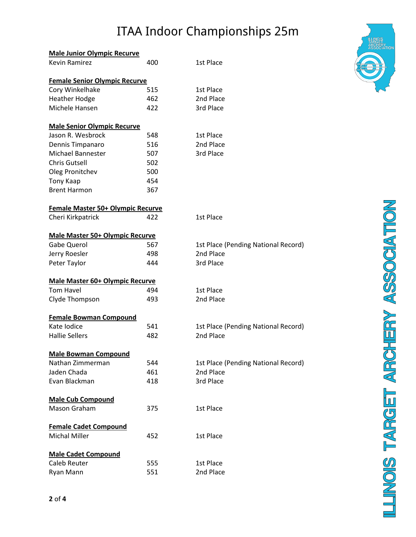| <b>Male Junior Olympic Recurve</b>     |     |                                     |
|----------------------------------------|-----|-------------------------------------|
| <b>Kevin Ramirez</b>                   | 400 | 1st Place                           |
| <b>Female Senior Olympic Recurve</b>   |     |                                     |
| Cory Winkelhake                        | 515 | 1st Place                           |
| <b>Heather Hodge</b>                   | 462 | 2nd Place                           |
| Michele Hansen                         | 422 | 3rd Place                           |
|                                        |     |                                     |
| <b>Male Senior Olympic Recurve</b>     |     |                                     |
| Jason R. Wesbrock                      | 548 | 1st Place                           |
| Dennis Timpanaro                       | 516 | 2nd Place                           |
| Michael Bannester                      | 507 | 3rd Place                           |
| <b>Chris Gutsell</b>                   | 502 |                                     |
| Oleg Pronitchev                        | 500 |                                     |
| <b>Tony Kaap</b>                       | 454 |                                     |
| <b>Brent Harmon</b>                    | 367 |                                     |
| Female Master 50+ Olympic Recurve      |     |                                     |
| Cheri Kirkpatrick                      | 422 | 1st Place                           |
| <b>Male Master 50+ Olympic Recurve</b> |     |                                     |
| Gabe Querol                            | 567 | 1st Place (Pending National Record) |
| Jerry Roesler                          | 498 | 2nd Place                           |
| Peter Taylor                           | 444 | 3rd Place                           |
| <b>Male Master 60+ Olympic Recurve</b> |     |                                     |
| <b>Tom Havel</b>                       | 494 | 1st Place                           |
| Clyde Thompson                         | 493 | 2nd Place                           |
| <b>Female Bowman Compound</b>          |     |                                     |
| Kate Iodice                            | 541 | 1st Place (Pending National Record) |
| <b>Hallie Sellers</b>                  | 482 | 2nd Place                           |
| <b>Male Bowman Compound</b>            |     |                                     |
| Nathan Zimmerman                       | 544 | 1st Place (Pending National Record) |
| Jaden Chada                            | 461 | 2nd Place                           |
| Evan Blackman                          | 418 | 3rd Place                           |
|                                        |     |                                     |
| <b>Male Cub Compound</b>               |     |                                     |
| Mason Graham                           | 375 | 1st Place                           |
| <b>Female Cadet Compound</b>           |     |                                     |
| <b>Michal Miller</b>                   | 452 | 1st Place                           |
| <b>Male Cadet Compound</b>             |     |                                     |
| Caleb Reuter                           | 555 | 1st Place                           |
| Ryan Mann                              | 551 | 2nd Place                           |



LLINOIS TARGET ARCHERY ASSOCIATION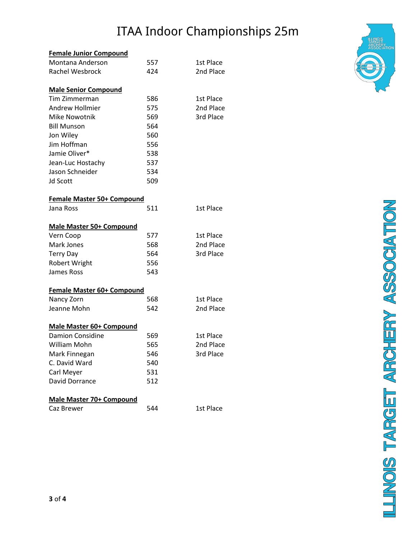| <b>Female Junior Compound</b>     |     |           |
|-----------------------------------|-----|-----------|
| Montana Anderson                  | 557 | 1st Place |
| <b>Rachel Wesbrock</b>            | 424 | 2nd Place |
|                                   |     |           |
| <b>Male Senior Compound</b>       |     |           |
| Tim Zimmerman                     | 586 | 1st Place |
| <b>Andrew Hollmier</b>            | 575 | 2nd Place |
| <b>Mike Nowotnik</b>              | 569 | 3rd Place |
| <b>Bill Munson</b>                | 564 |           |
| Jon Wiley                         | 560 |           |
| Jim Hoffman                       | 556 |           |
| Jamie Oliver*                     | 538 |           |
| Jean-Luc Hostachy                 | 537 |           |
| Jason Schneider                   | 534 |           |
| <b>Jd Scott</b>                   | 509 |           |
|                                   |     |           |
| <b>Female Master 50+ Compound</b> |     |           |
| Jana Ross                         | 511 | 1st Place |
|                                   |     |           |
| Male Master 50+ Compound          |     |           |
| Vern Coop                         | 577 | 1st Place |
| Mark Jones                        | 568 | 2nd Place |
| <b>Terry Day</b>                  | 564 | 3rd Place |
| <b>Robert Wright</b>              | 556 |           |
| <b>James Ross</b>                 | 543 |           |
| Female Master 60+ Compound        |     |           |
| Nancy Zorn                        | 568 | 1st Place |
| Jeanne Mohn                       | 542 | 2nd Place |
|                                   |     |           |
| Male Master 60+ Compound          |     |           |
| <b>Damion Considine</b>           | 569 | 1st Place |
| William Mohn                      | 565 | 2nd Place |
| Mark Finnegan                     | 546 | 3rd Place |
| C. David Ward                     | 540 |           |
| Carl Meyer                        | 531 |           |
| David Dorrance                    | 512 |           |
|                                   |     |           |
| <b>Male Master 70+ Compound</b>   |     |           |
| Caz Brewer                        | 544 | 1st Place |



**LLINOIS TARGET ARCHERY ASSOCIATION**